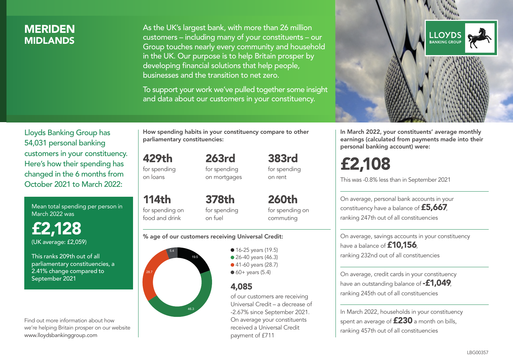### MERIDEN **MIDI ANDS**

As the UK's largest bank, with more than 26 million customers – including many of your constituents – our Group touches nearly every community and household in the UK. Our purpose is to help Britain prosper by developing financial solutions that help people, businesses and the transition to net zero.

To support your work we've pulled together some insight and data about our customers in your constituency.



Mean total spending per person in March 2022 was

£2,128 (UK average: £2,059)

This ranks 209th out of all parliamentary constituencies, a 2.41% change compared to September 2021

Find out more information about how we're helping Britain prosper on our website www.lloydsbankinggroup.com

How spending habits in your constituency compare to other parliamentary constituencies:

263rd

429th for spending

on loans

114th

for spending on mortgages

for spending on food and drink 378th for spending on fuel

260th for spending on commuting

383rd for spending on rent

#### % age of our customers receiving Universal Credit:



• 16-25 years (19.5) • 26-40 years (46.3) ● 41-60 years (28.7)  $60+$  years (5.4)

### 4,085

of our customers are receiving Universal Credit – a decrease of -2.67% since September 2021. On average your constituents received a Universal Credit payment of £711



In March 2022, your constituents' average monthly earnings (calculated from payments made into their personal banking account) were:

# £2,108

This was -0.8% less than in September 2021

On average, personal bank accounts in your constituency have a balance of £5,667, ranking 247th out of all constituencies

On average, savings accounts in your constituency have a balance of **£10,156** ranking 232nd out of all constituencies

On average, credit cards in your constituency have an outstanding balance of **-£1,049** ranking 245th out of all constituencies

In March 2022, households in your constituency spent an average of £230 a month on bills, ranking 457th out of all constituencies